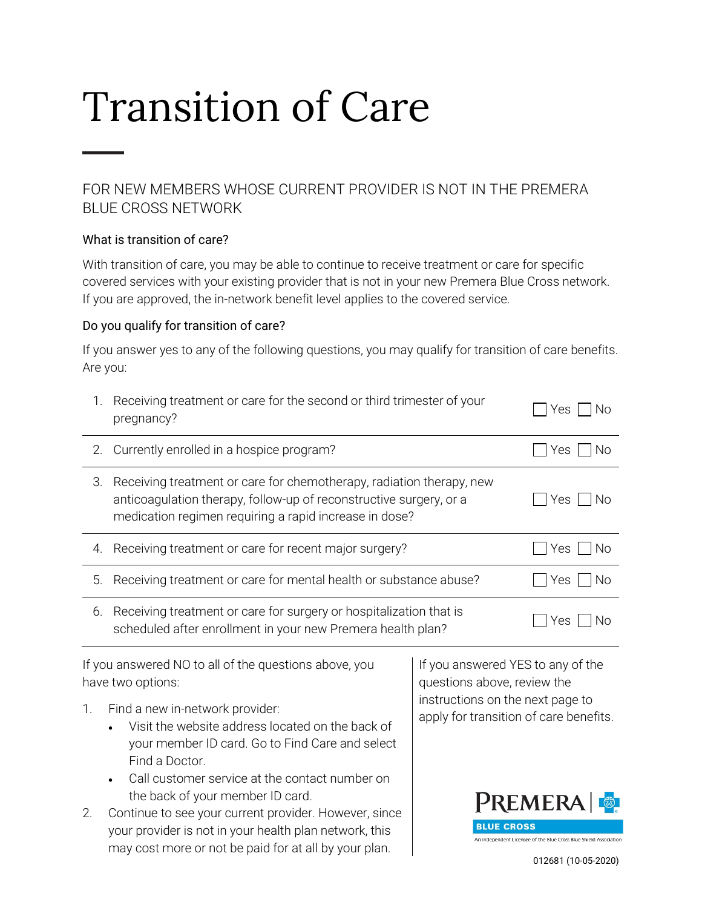# Transition of Care

## FOR NEW MEMBERS WHOSE CURRENT PROVIDER IS NOT IN THE PREMERA BLUE CROSS NETWORK

## What is transition of care?

With transition of care, you may be able to continue to receive treatment or care for specific covered services with your existing provider that is not in your new Premera Blue Cross network. If you are approved, the in-network benefit level applies to the covered service.

### Do you qualify for transition of care?

If you answer yes to any of the following questions, you may qualify for transition of care benefits. Are you:

| 1.                                                                         | Receiving treatment or care for the second or third trimester of your<br>pregnancy?                                                                                                                                                            |                                                                                                                  | Yes<br>No.                                                       |
|----------------------------------------------------------------------------|------------------------------------------------------------------------------------------------------------------------------------------------------------------------------------------------------------------------------------------------|------------------------------------------------------------------------------------------------------------------|------------------------------------------------------------------|
| 2.                                                                         | Currently enrolled in a hospice program?                                                                                                                                                                                                       |                                                                                                                  | No<br>Yes.                                                       |
| 3.                                                                         | Receiving treatment or care for chemotherapy, radiation therapy, new<br>anticoagulation therapy, follow-up of reconstructive surgery, or a<br>medication regimen requiring a rapid increase in dose?                                           |                                                                                                                  | Yes<br>-No                                                       |
| 4.                                                                         | Receiving treatment or care for recent major surgery?                                                                                                                                                                                          |                                                                                                                  | No<br>Yes                                                        |
| 5.                                                                         | Receiving treatment or care for mental health or substance abuse?                                                                                                                                                                              |                                                                                                                  | No<br>Yes                                                        |
| 6.                                                                         | Receiving treatment or care for surgery or hospitalization that is<br>Yes<br>scheduled after enrollment in your new Premera health plan?                                                                                                       |                                                                                                                  | No                                                               |
| If you answered NO to all of the questions above, you<br>have two options: |                                                                                                                                                                                                                                                | If you answered YES to any of the<br>questions above, review the                                                 |                                                                  |
| 1.                                                                         | Find a new in-network provider:<br>Visit the website address located on the back of<br>your member ID card. Go to Find Care and select<br>Find a Doctor.<br>Call customer service at the contact number on<br>the back of your member ID card. | instructions on the next page to<br>apply for transition of care benefits.<br><b>PREMERA</b><br><b>.UE CROSS</b> |                                                                  |
| 2.                                                                         | Continue to see your current provider. However, since                                                                                                                                                                                          |                                                                                                                  |                                                                  |
|                                                                            | your provider is not in your health plan network, this<br>may cost more or not be paid for at all by your plan.                                                                                                                                |                                                                                                                  | An Independent Licensee of the Blue Cross Blue Shield Associatio |
|                                                                            |                                                                                                                                                                                                                                                |                                                                                                                  | 012681 (10-05-2020)                                              |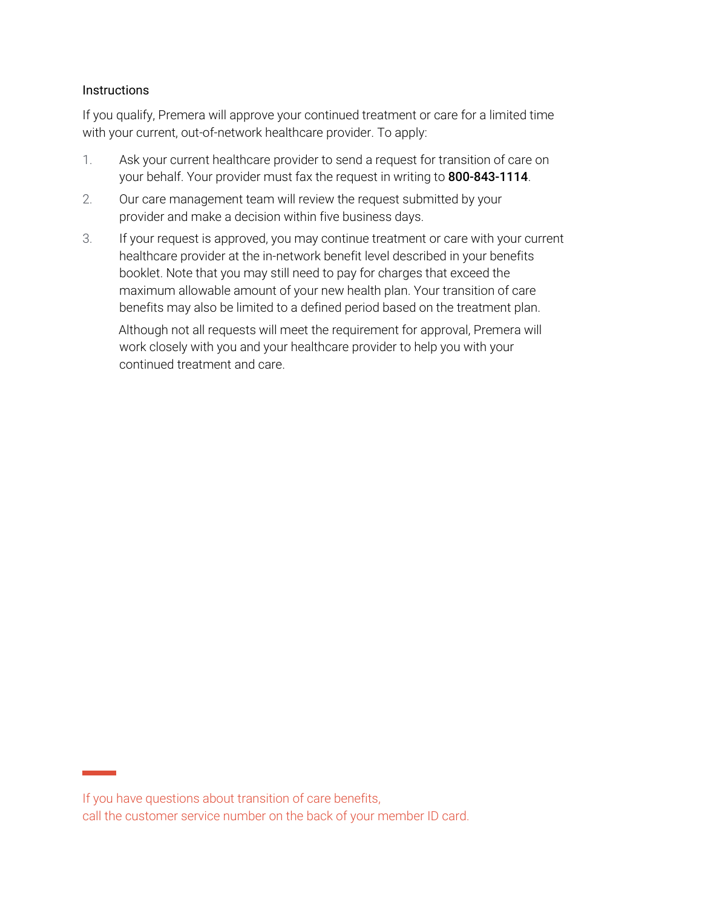#### **Instructions**

If you qualify, Premera will approve your continued treatment or care for a limited time with your current, out-of-network healthcare provider. To apply:

- 1. Ask your current healthcare provider to send a request for transition of care on your behalf. Your provider must fax the request in writing to 800-843-1114.
- 2. Our care management team will review the request submitted by your provider and make a decision within five business days.
- 3. If your request is approved, you may continue treatment or care with your current healthcare provider at the in-network benefit level described in your benefits booklet. Note that you may still need to pay for charges that exceed the maximum allowable amount of your new health plan. Your transition of care benefits may also be limited to a defined period based on the treatment plan.

Although not all requests will meet the requirement for approval, Premera will work closely with you and your healthcare provider to help you with your continued treatment and care.

If you have questions about transition of care benefits, call the customer service number on the back of your member ID card.